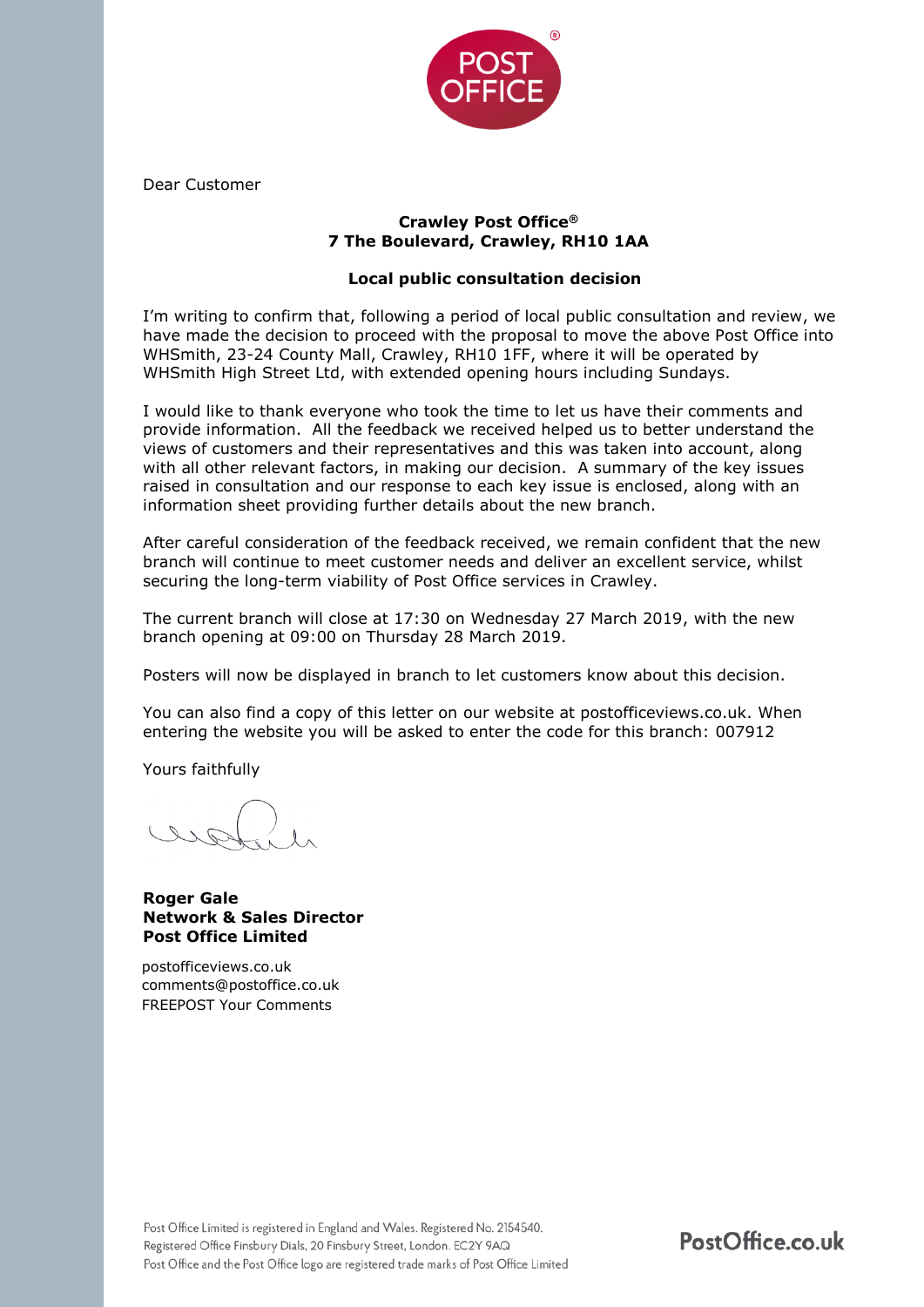

Dear Customer

## **Crawley Post Office® 7 The Boulevard, Crawley, RH10 1AA**

# **Local public consultation decision**

I'm writing to confirm that, following a period of local public consultation and review, we have made the decision to proceed with the proposal to move the above Post Office into WHSmith, 23-24 County Mall, Crawley, RH10 1FF, where it will be operated by WHSmith High Street Ltd, with extended opening hours including Sundays.

I would like to thank everyone who took the time to let us have their comments and provide information. All the feedback we received helped us to better understand the views of customers and their representatives and this was taken into account, along with all other relevant factors, in making our decision. A summary of the key issues raised in consultation and our response to each key issue is enclosed, along with an information sheet providing further details about the new branch.

After careful consideration of the feedback received, we remain confident that the new branch will continue to meet customer needs and deliver an excellent service, whilst securing the long-term viability of Post Office services in Crawley.

The current branch will close at 17:30 on Wednesday 27 March 2019, with the new branch opening at 09:00 on Thursday 28 March 2019.

Posters will now be displayed in branch to let customers know about this decision.

You can also find a copy of this letter on our website at postofficeviews.co.uk. When entering the website you will be asked to enter the code for this branch: 007912

Yours faithfully

## **Roger Gale Network & Sales Director Post Office Limited**

postofficeviews.co.uk [comments@postoffice.co.uk](mailto:comments@postoffice.co.uk)  FREEPOST Your Comments

PostOffice.co.uk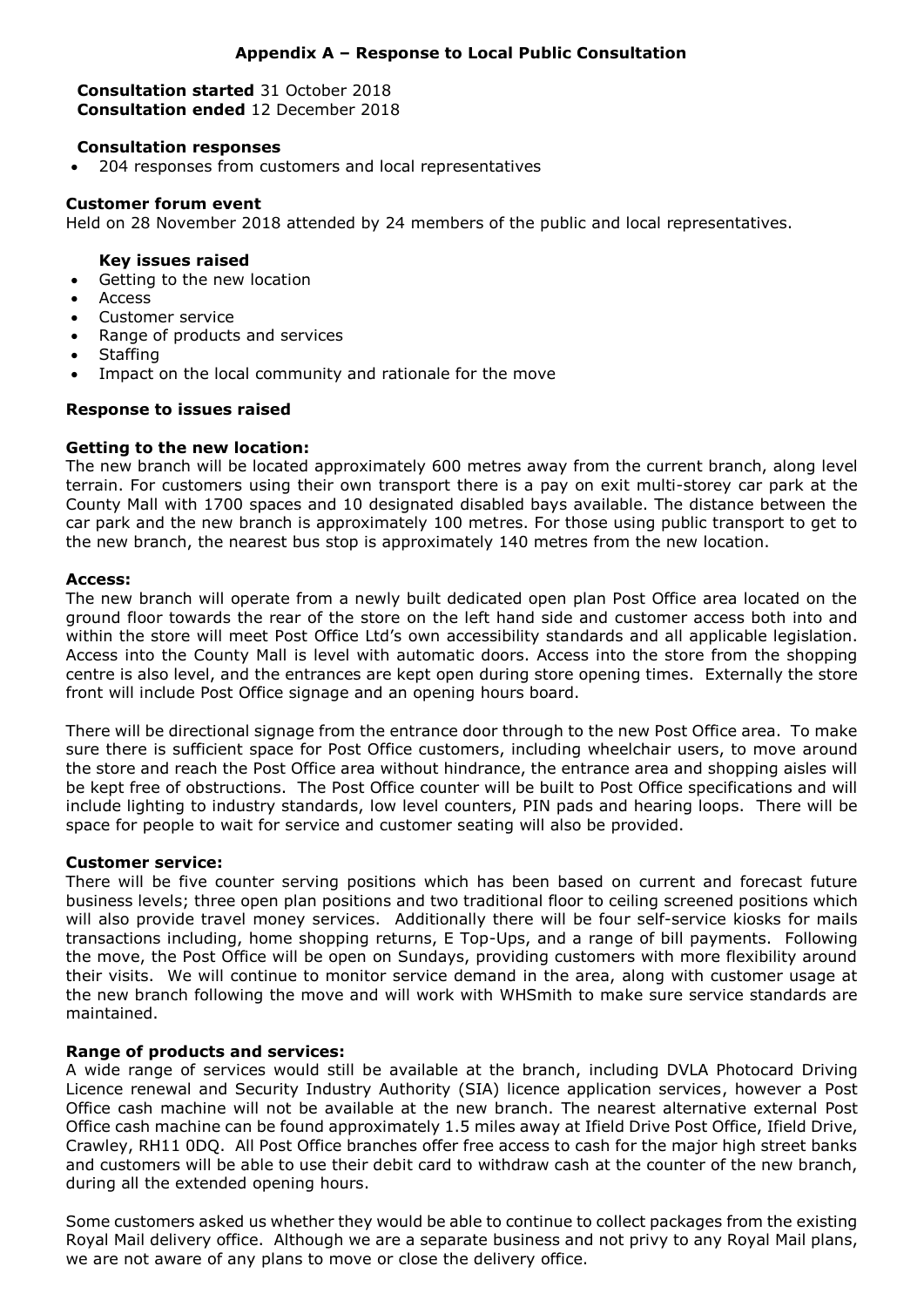# **Appendix A – Response to Local Public Consultation**

**Consultation started** 31 October 2018 **Consultation ended** 12 December 2018

## **Consultation responses**

204 responses from customers and local representatives

## **Customer forum event**

Held on 28 November 2018 attended by 24 members of the public and local representatives.

#### **Key issues raised**

- Getting to the new location
- **Access**
- Customer service
- Range of products and services
- **Staffing**
- Impact on the local community and rationale for the move

#### **Response to issues raised**

#### **Getting to the new location:**

The new branch will be located approximately 600 metres away from the current branch, along level terrain. For customers using their own transport there is a pay on exit multi-storey car park at the County Mall with 1700 spaces and 10 designated disabled bays available. The distance between the car park and the new branch is approximately 100 metres. For those using public transport to get to the new branch, the nearest bus stop is approximately 140 metres from the new location.

#### **Access:**

The new branch will operate from a newly built dedicated open plan Post Office area located on the ground floor towards the rear of the store on the left hand side and customer access both into and within the store will meet Post Office Ltd's own accessibility standards and all applicable legislation. Access into the County Mall is level with automatic doors. Access into the store from the shopping centre is also level, and the entrances are kept open during store opening times. Externally the store front will include Post Office signage and an opening hours board.

There will be directional signage from the entrance door through to the new Post Office area. To make sure there is sufficient space for Post Office customers, including wheelchair users, to move around the store and reach the Post Office area without hindrance, the entrance area and shopping aisles will be kept free of obstructions. The Post Office counter will be built to Post Office specifications and will include lighting to industry standards, low level counters, PIN pads and hearing loops. There will be space for people to wait for service and customer seating will also be provided.

#### **Customer service:**

There will be five counter serving positions which has been based on current and forecast future business levels; three open plan positions and two traditional floor to ceiling screened positions which will also provide travel money services. Additionally there will be four self-service kiosks for mails transactions including, home shopping returns, E Top-Ups, and a range of bill payments. Following the move, the Post Office will be open on Sundays, providing customers with more flexibility around their visits. We will continue to monitor service demand in the area, along with customer usage at the new branch following the move and will work with WHSmith to make sure service standards are maintained.

## **Range of products and services:**

A wide range of services would still be available at the branch, including DVLA Photocard Driving Licence renewal and Security Industry Authority (SIA) licence application services, however a Post Office cash machine will not be available at the new branch. The nearest alternative external Post Office cash machine can be found approximately 1.5 miles away at Ifield Drive Post Office, Ifield Drive, Crawley, RH11 0DQ. All Post Office branches offer free access to cash for the major high street banks and customers will be able to use their debit card to withdraw cash at the counter of the new branch, during all the extended opening hours.

Some customers asked us whether they would be able to continue to collect packages from the existing Royal Mail delivery office. Although we are a separate business and not privy to any Royal Mail plans, we are not aware of any plans to move or close the delivery office.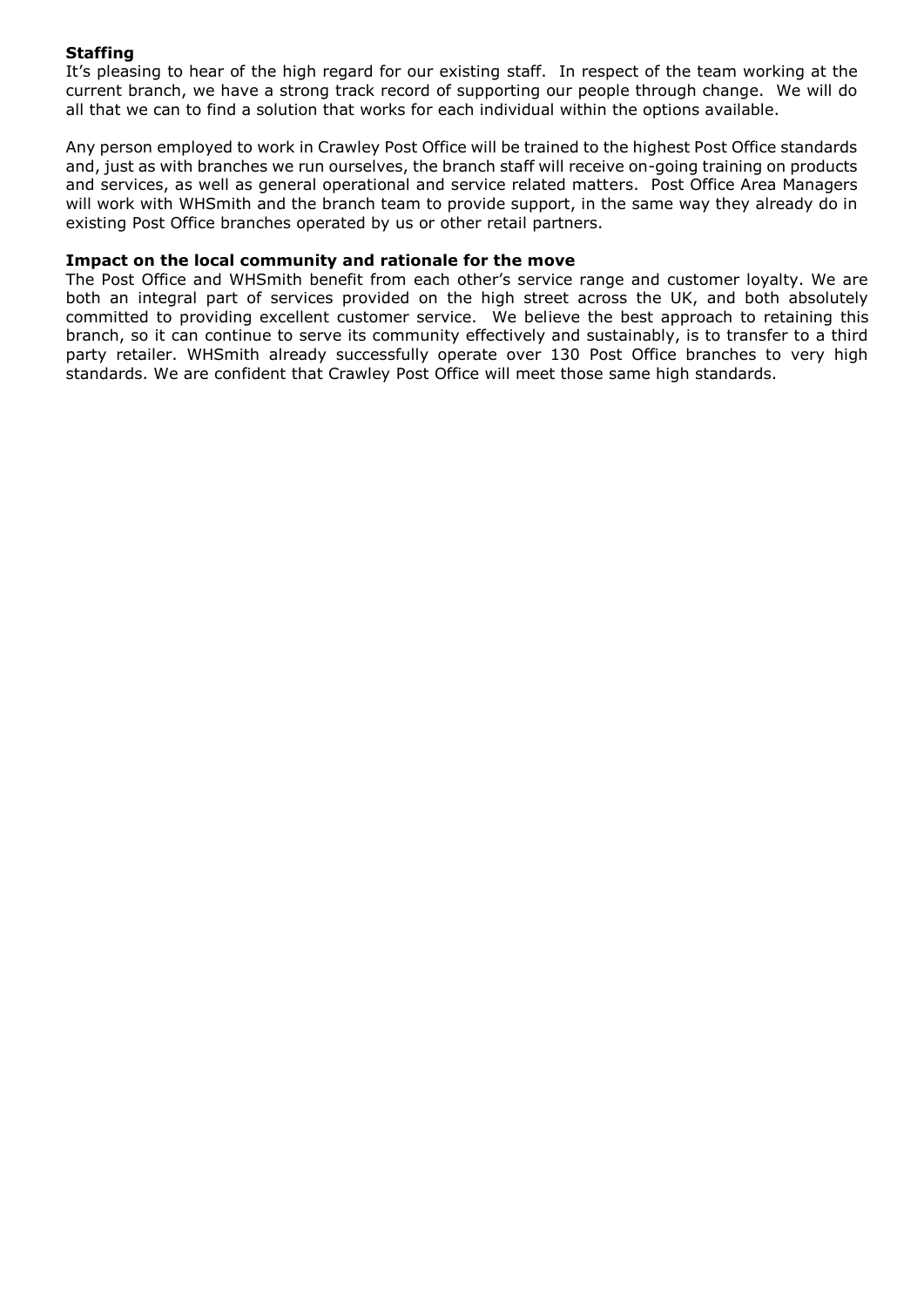# **Staffing**

It's pleasing to hear of the high regard for our existing staff. In respect of the team working at the current branch, we have a strong track record of supporting our people through change. We will do all that we can to find a solution that works for each individual within the options available.

Any person employed to work in Crawley Post Office will be trained to the highest Post Office standards and, just as with branches we run ourselves, the branch staff will receive on-going training on products and services, as well as general operational and service related matters. Post Office Area Managers will work with WHSmith and the branch team to provide support, in the same way they already do in existing Post Office branches operated by us or other retail partners.

## **Impact on the local community and rationale for the move**

The Post Office and WHSmith benefit from each other's service range and customer loyalty. We are both an integral part of services provided on the high street across the UK, and both absolutely committed to providing excellent customer service. We believe the best approach to retaining this branch, so it can continue to serve its community effectively and sustainably, is to transfer to a third party retailer. WHSmith already successfully operate over 130 Post Office branches to very high standards. We are confident that Crawley Post Office will meet those same high standards.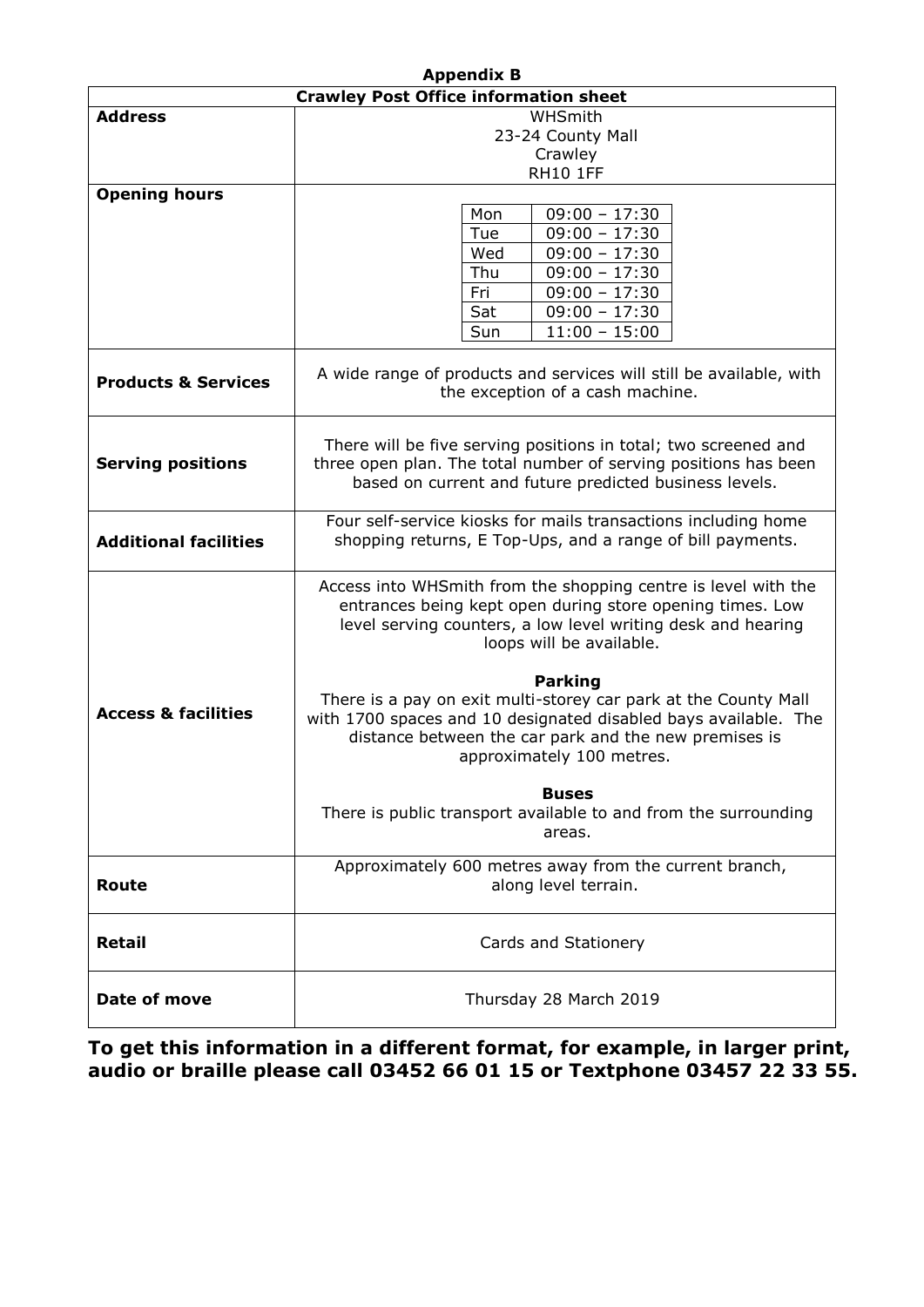| <b>Appendix B</b>                            |                                                                                                                                                                                                                                            |
|----------------------------------------------|--------------------------------------------------------------------------------------------------------------------------------------------------------------------------------------------------------------------------------------------|
| <b>Crawley Post Office information sheet</b> |                                                                                                                                                                                                                                            |
| <b>Address</b>                               | WHSmith                                                                                                                                                                                                                                    |
|                                              | 23-24 County Mall                                                                                                                                                                                                                          |
|                                              | Crawley                                                                                                                                                                                                                                    |
|                                              | <b>RH10 1FF</b>                                                                                                                                                                                                                            |
| <b>Opening hours</b>                         |                                                                                                                                                                                                                                            |
|                                              | $09:00 - 17:30$<br>Mon                                                                                                                                                                                                                     |
|                                              | $09:00 - 17:30$<br>Tue                                                                                                                                                                                                                     |
|                                              | Wed<br>$09:00 - 17:30$                                                                                                                                                                                                                     |
|                                              | Thu<br>$09:00 - 17:30$                                                                                                                                                                                                                     |
|                                              | Fri<br>$09:00 - 17:30$                                                                                                                                                                                                                     |
|                                              | Sat<br>$09:00 - 17:30$                                                                                                                                                                                                                     |
|                                              |                                                                                                                                                                                                                                            |
|                                              | Sun<br>$11:00 - 15:00$                                                                                                                                                                                                                     |
| <b>Products &amp; Services</b>               | A wide range of products and services will still be available, with<br>the exception of a cash machine.                                                                                                                                    |
|                                              |                                                                                                                                                                                                                                            |
| <b>Serving positions</b>                     | There will be five serving positions in total; two screened and<br>three open plan. The total number of serving positions has been                                                                                                         |
|                                              | based on current and future predicted business levels.                                                                                                                                                                                     |
| <b>Additional facilities</b>                 | Four self-service kiosks for mails transactions including home<br>shopping returns, E Top-Ups, and a range of bill payments.                                                                                                               |
|                                              |                                                                                                                                                                                                                                            |
|                                              | Access into WHSmith from the shopping centre is level with the<br>entrances being kept open during store opening times. Low<br>level serving counters, a low level writing desk and hearing<br>loops will be available.                    |
| <b>Access &amp; facilities</b>               | <b>Parking</b><br>There is a pay on exit multi-storey car park at the County Mall<br>with 1700 spaces and 10 designated disabled bays available. The<br>distance between the car park and the new premises is<br>approximately 100 metres. |
|                                              | <b>Buses</b><br>There is public transport available to and from the surrounding<br>areas.                                                                                                                                                  |
| <b>Route</b>                                 | Approximately 600 metres away from the current branch,<br>along level terrain.                                                                                                                                                             |
| <b>Retail</b>                                | Cards and Stationery                                                                                                                                                                                                                       |
| Date of move                                 | Thursday 28 March 2019                                                                                                                                                                                                                     |

**To get this information in a different format, for example, in larger print, audio or braille please call 03452 66 01 15 or Textphone 03457 22 33 55.**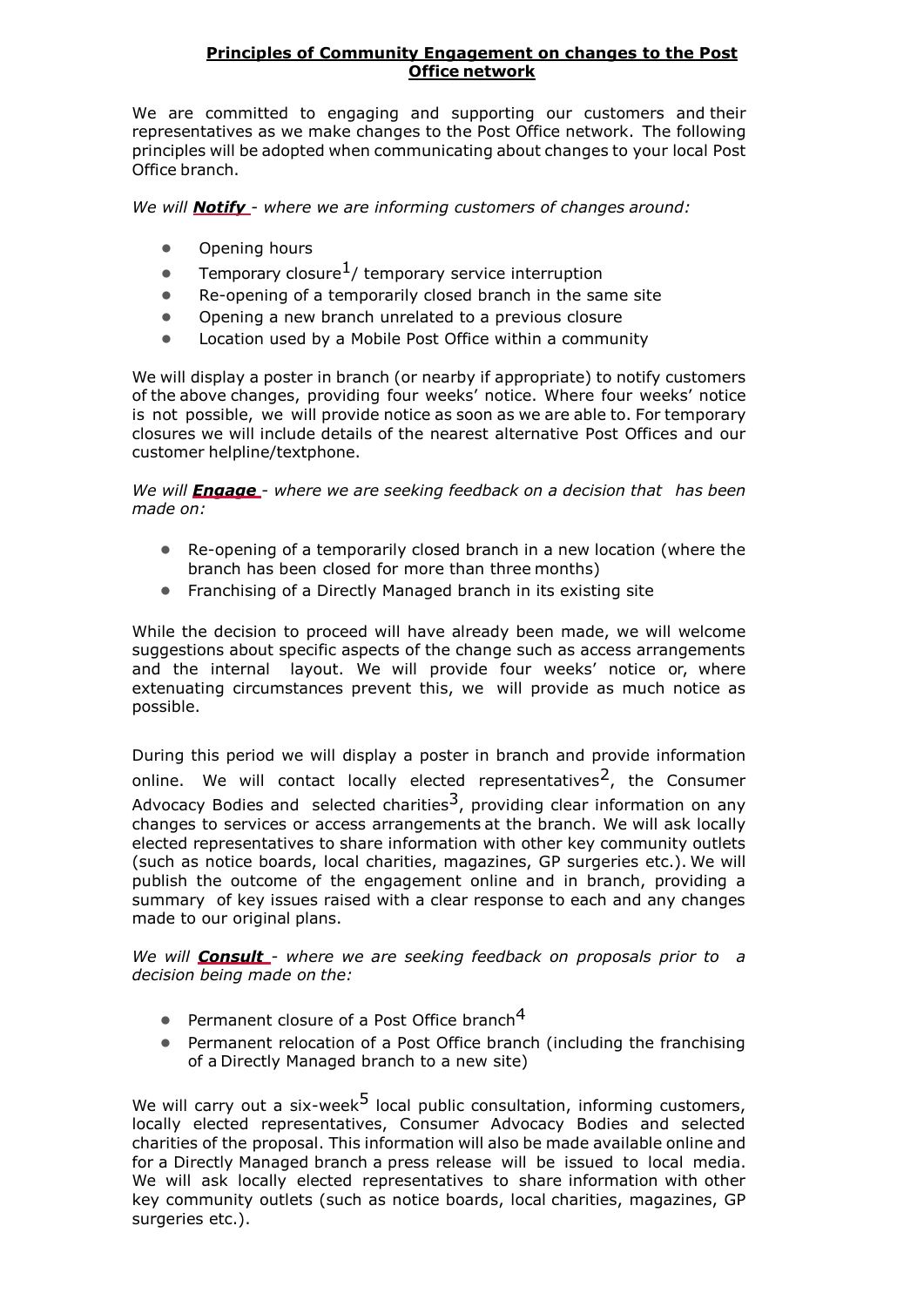# **Principles of Community Engagement on changes to the Post Office network**

We are committed to engaging and supporting our customers and their representatives as we make changes to the Post Office network. The following principles will be adopted when communicating about changes to your local Post Office branch.

*We will Notify - where we are informing customers of changes around:*

- Opening hours
- **•** Temporary closure<sup>1</sup>/ temporary service interruption
- Re-opening of a temporarily closed branch in the same site
- Opening a new branch unrelated to a previous closure
- Location used by a Mobile Post Office within a community

We will display a poster in branch (or nearby if appropriate) to notify customers of the above changes, providing four weeks' notice. Where four weeks' notice is not possible, we will provide notice as soon as we are able to. For temporary closures we will include details of the nearest alternative Post Offices and our customer helpline/textphone.

*We will Engage - where we are seeking feedback on a decision that has been made on:*

- Re-opening of a temporarily closed branch in a new location (where the branch has been closed for more than three months)
- Franchising of a Directly Managed branch in its existing site

While the decision to proceed will have already been made, we will welcome suggestions about specific aspects of the change such as access arrangements and the internal layout. We will provide four weeks' notice or, where extenuating circumstances prevent this, we will provide as much notice as possible.

During this period we will display a poster in branch and provide information online. We will contact locally elected representatives<sup>2</sup>, the Consumer Advocacy Bodies and selected charities<sup>3</sup>, providing clear information on any changes to services or access arrangements at the branch. We will ask locally elected representatives to share information with other key community outlets (such as notice boards, local charities, magazines, GP surgeries etc.). We will publish the outcome of the engagement online and in branch, providing a summary of key issues raised with a clear response to each and any changes made to our original plans.

*We will Consult - where we are seeking feedback on proposals prior to a decision being made on the:*

- $\bullet$  Permanent closure of a Post Office branch<sup>4</sup>
- Permanent relocation of a Post Office branch (including the franchising of a Directly Managed branch to a new site)

We will carry out a six-week<sup>5</sup> local public consultation, informing customers, locally elected representatives, Consumer Advocacy Bodies and selected charities of the proposal. This information will also be made available online and for a Directly Managed branch a press release will be issued to local media. We will ask locally elected representatives to share information with other key community outlets (such as notice boards, local charities, magazines, GP surgeries etc.).